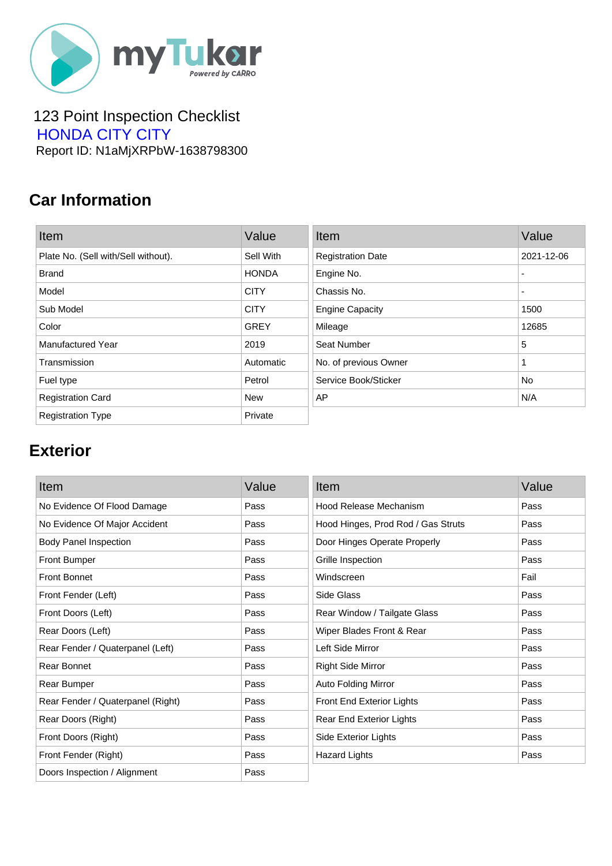

#### 123 Point Inspection Checklist  [HONDA CITY CITY](https://mytukar.com/q/D2XLX8) Report ID: N1aMjXRPbW-1638798300

### **Car Information**

| Item                                | Value        | Item                     | Value      |
|-------------------------------------|--------------|--------------------------|------------|
| Plate No. (Sell with/Sell without). | Sell With    | <b>Registration Date</b> | 2021-12-06 |
| <b>Brand</b>                        | <b>HONDA</b> | Engine No.               | ٠          |
| Model                               | <b>CITY</b>  | Chassis No.              | ٠          |
| Sub Model                           | <b>CITY</b>  | <b>Engine Capacity</b>   | 1500       |
| Color                               | <b>GREY</b>  | Mileage                  | 12685      |
| <b>Manufactured Year</b>            | 2019         | Seat Number              | 5          |
| Transmission                        | Automatic    | No. of previous Owner    | 1          |
| Fuel type                           | Petrol       | Service Book/Sticker     | No.        |
| <b>Registration Card</b>            | New          | AP                       | N/A        |
| <b>Registration Type</b>            | Private      |                          |            |

# **Exterior**

| Item                              | Value | Item                               | Value |
|-----------------------------------|-------|------------------------------------|-------|
| No Evidence Of Flood Damage       | Pass  | Hood Release Mechanism             | Pass  |
| No Evidence Of Major Accident     | Pass  | Hood Hinges, Prod Rod / Gas Struts | Pass  |
| <b>Body Panel Inspection</b>      | Pass  | Door Hinges Operate Properly       | Pass  |
| <b>Front Bumper</b>               | Pass  | Grille Inspection                  | Pass  |
| <b>Front Bonnet</b>               | Pass  | Windscreen                         | Fail  |
| Front Fender (Left)               | Pass  | Side Glass                         | Pass  |
| Front Doors (Left)                | Pass  | Rear Window / Tailgate Glass       | Pass  |
| Rear Doors (Left)                 | Pass  | Wiper Blades Front & Rear          | Pass  |
| Rear Fender / Quaterpanel (Left)  | Pass  | Left Side Mirror                   | Pass  |
| Rear Bonnet                       | Pass  | <b>Right Side Mirror</b>           | Pass  |
| Rear Bumper                       | Pass  | <b>Auto Folding Mirror</b>         | Pass  |
| Rear Fender / Quaterpanel (Right) | Pass  | Front End Exterior Lights          | Pass  |
| Rear Doors (Right)                | Pass  | Rear End Exterior Lights           | Pass  |
| Front Doors (Right)               | Pass  | Side Exterior Lights               | Pass  |
| Front Fender (Right)              | Pass  | <b>Hazard Lights</b>               | Pass  |
| Doors Inspection / Alignment      | Pass  |                                    |       |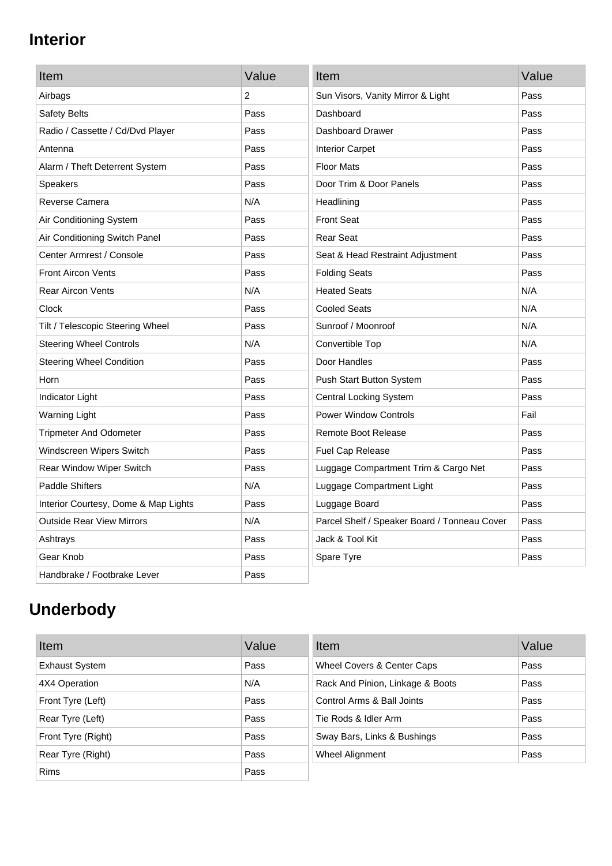# **Interior**

| Item                                 | Value | Item                                         | Value |
|--------------------------------------|-------|----------------------------------------------|-------|
| Airbags                              | 2     | Sun Visors, Vanity Mirror & Light            | Pass  |
| Safety Belts                         | Pass  | Dashboard                                    | Pass  |
| Radio / Cassette / Cd/Dvd Player     | Pass  | Dashboard Drawer                             | Pass  |
| Antenna                              | Pass  | <b>Interior Carpet</b>                       | Pass  |
| Alarm / Theft Deterrent System       | Pass  | <b>Floor Mats</b>                            | Pass  |
| <b>Speakers</b>                      | Pass  | Door Trim & Door Panels                      | Pass  |
| Reverse Camera                       | N/A   | Headlining                                   | Pass  |
| Air Conditioning System              | Pass  | <b>Front Seat</b>                            | Pass  |
| Air Conditioning Switch Panel        | Pass  | <b>Rear Seat</b>                             | Pass  |
| Center Armrest / Console             | Pass  | Seat & Head Restraint Adjustment             | Pass  |
| <b>Front Aircon Vents</b>            | Pass  | <b>Folding Seats</b>                         | Pass  |
| <b>Rear Aircon Vents</b>             | N/A   | <b>Heated Seats</b>                          | N/A   |
| Clock                                | Pass  | <b>Cooled Seats</b>                          | N/A   |
| Tilt / Telescopic Steering Wheel     | Pass  | Sunroof / Moonroof                           | N/A   |
| <b>Steering Wheel Controls</b>       | N/A   | Convertible Top                              | N/A   |
| <b>Steering Wheel Condition</b>      | Pass  | Door Handles                                 | Pass  |
| Horn                                 | Pass  | Push Start Button System                     | Pass  |
| Indicator Light                      | Pass  | <b>Central Locking System</b>                | Pass  |
| <b>Warning Light</b>                 | Pass  | <b>Power Window Controls</b>                 | Fail  |
| <b>Tripmeter And Odometer</b>        | Pass  | <b>Remote Boot Release</b>                   | Pass  |
| Windscreen Wipers Switch             | Pass  | Fuel Cap Release                             | Pass  |
| Rear Window Wiper Switch             | Pass  | Luggage Compartment Trim & Cargo Net         | Pass  |
| <b>Paddle Shifters</b>               | N/A   | Luggage Compartment Light                    | Pass  |
| Interior Courtesy, Dome & Map Lights | Pass  | Luggage Board                                | Pass  |
| <b>Outside Rear View Mirrors</b>     | N/A   | Parcel Shelf / Speaker Board / Tonneau Cover | Pass  |
| Ashtrays                             | Pass  | Jack & Tool Kit                              | Pass  |
| Gear Knob                            | Pass  | Spare Tyre                                   | Pass  |
| Handbrake / Footbrake Lever          | Pass  |                                              |       |

# **Underbody**

| Item                  | Value | Item                             | Value |
|-----------------------|-------|----------------------------------|-------|
| <b>Exhaust System</b> | Pass  | Wheel Covers & Center Caps       | Pass  |
| 4X4 Operation         | N/A   | Rack And Pinion, Linkage & Boots | Pass  |
| Front Tyre (Left)     | Pass  | Control Arms & Ball Joints       | Pass  |
| Rear Tyre (Left)      | Pass  | Tie Rods & Idler Arm             | Pass  |
| Front Tyre (Right)    | Pass  | Sway Bars, Links & Bushings      | Pass  |
| Rear Tyre (Right)     | Pass  | Wheel Alignment                  | Pass  |
| <b>Rims</b>           | Pass  |                                  |       |